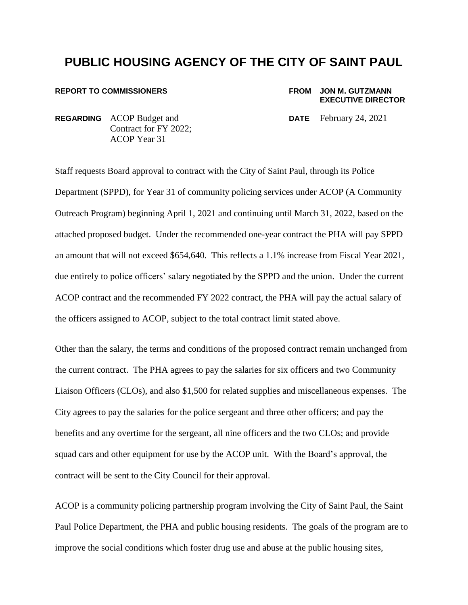# **PUBLIC HOUSING AGENCY OF THE CITY OF SAINT PAUL**

### **REPORT TO COMMISSIONERS FROM JON M. GUTZMANN**

# **EXECUTIVE DIRECTOR**

**REGARDING** ACOP Budget and **DATE** February 24, 2021 Contract for FY 2022; ACOP Year 31

Staff requests Board approval to contract with the City of Saint Paul, through its Police Department (SPPD), for Year 31 of community policing services under ACOP (A Community Outreach Program) beginning April 1, 2021 and continuing until March 31, 2022, based on the attached proposed budget. Under the recommended one-year contract the PHA will pay SPPD an amount that will not exceed \$654,640. This reflects a 1.1% increase from Fiscal Year 2021, due entirely to police officers' salary negotiated by the SPPD and the union. Under the current ACOP contract and the recommended FY 2022 contract, the PHA will pay the actual salary of the officers assigned to ACOP, subject to the total contract limit stated above.

Other than the salary, the terms and conditions of the proposed contract remain unchanged from the current contract. The PHA agrees to pay the salaries for six officers and two Community Liaison Officers (CLOs), and also \$1,500 for related supplies and miscellaneous expenses. The City agrees to pay the salaries for the police sergeant and three other officers; and pay the benefits and any overtime for the sergeant, all nine officers and the two CLOs; and provide squad cars and other equipment for use by the ACOP unit. With the Board's approval, the contract will be sent to the City Council for their approval.

ACOP is a community policing partnership program involving the City of Saint Paul, the Saint Paul Police Department, the PHA and public housing residents. The goals of the program are to improve the social conditions which foster drug use and abuse at the public housing sites,